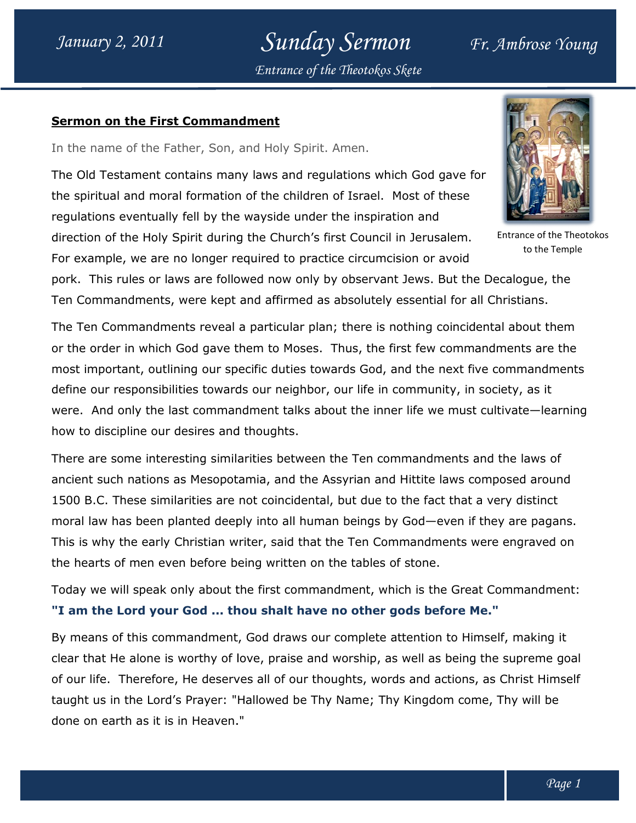Sunday Sermon Fr. Ambrose Young Entrance of the Theotokos Skete

## Sermon on the First Commandment

In the name of the Father, Son, and Holy Spirit. Amen.

The Old Testament contains many laws and regulations which God gave for In the name of the Father, Son, and Holy Spirit. Amen.<br>The Old Testament contains many laws and regulations which God gave f<br>the spiritual and moral formation of the children of Israel. Most of these regulations eventually fell by the wayside under the inspiration and regulations eventually fell by the wayside under the inspiration and<br>direction of the Holy Spirit during the Church's first Council in Jerusalem.

For example, we are no longer required to practice circumcision or avoid



to the Temple

pork. This rules or laws are followed now only by observant Jews. But the Decalogue, the Ten Commandments, were kept and affirmed as absolutely essential for all Christians. are no longer required to practice circumcision or avoid<br>or laws are followed now only by observant Jews. But the Decalogue,<br>ents, were kept and affirmed as absolutely essential for all Christians.

The Ten Commandments reveal a particular plan; there is nothing coincidental about them or the order in which God gave them to Moses. Thus, the first few commandments are the most important, outlining our specific duties towards God, and the next five commandments define our responsibilities towards our neighbor, our life in community, in society, as it were. And only the last commandment talks about the inner life we must cultivate-learning how to discipline our desires and thoughts. nportant, outlining our specific duties towards God, and the next five commandmen<br>bur responsibilities towards our neighbor, our life in community, in society, as it<br>And only the last commandment talks about the inner life absolutely essential for all Christians.<br>
i; there is nothing coincidental about them<br>
Thus, the first few commandments are the<br>
ards God, and the next five commandments<br>
our life in community, in society, as it<br>
but the i ouncil in Jerusalem. Entrance of the Theotokos<br>rcumcision or avoid<br>servant Jews. But the Decalogue, the<br>blutely essential for all Christians.<br>re is nothing coincidental about them<br>, the first few commandments are the<br>God,

There are some interesting similarities between the Ten commandments and the laws of ancient such nations as Mesopotamia, and the Assyrian and Hittite laws composed around 1500 B.C. These similarities are not coincidental, but due to the fact that a very distinct 1500 B.C. These similarities are not coincidental, but due to the fact that a very distinct<br>moral law has been planted deeply into all human beings by God—even if they are pagans. This is why the early Christian writer, said that the Ten Commandments were engraved<br>the hearts of men even before being written on the tables of stone. the hearts of men even before being written on the tables of stone. even if they are pagans.<br>nents were engraved on

Today we will speak only about the first commandment, which is the Great Commandment: "I am the Lord your God ... thou shalt have no other gods before Me."

By means of this commandment, God draws our complete attention to Himself, making it clear that He alone is worthy of love, praise and worship, as well as being the supreme goal of our life. Therefore, He deserves all of our thoughts, words and actions, as Christ Himself taught us in the Lord's Prayer: "Hallowed be Thy Name; Thy Kingdom come, Thy will be done on earth as it is in Heaven." alone is worthy of love, praise and worship, as v<br>nerefore, He deserves all of our thoughts, words<br>he Lord's Prayer: "Hallowed be Thy Name; Thy<br>n as it is in Heaven."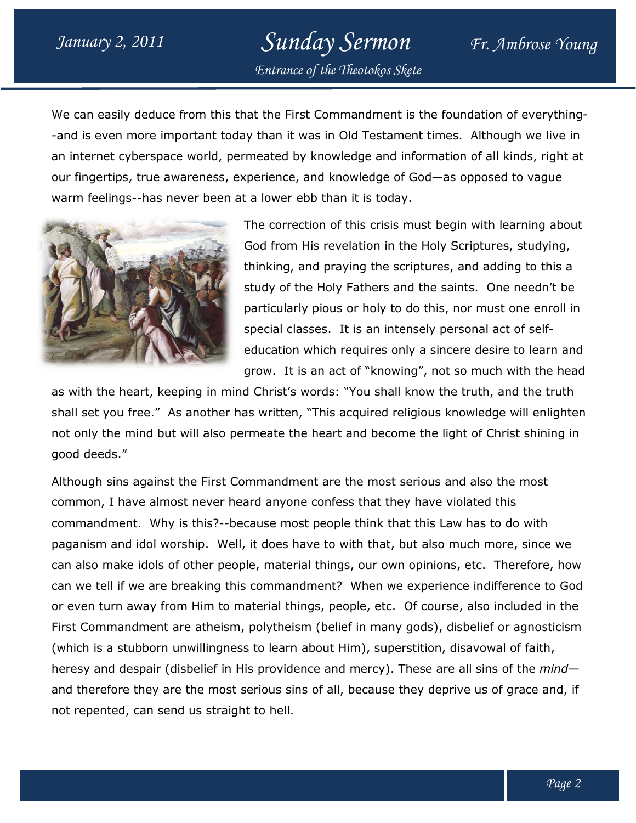## Sunday Sermon Fr. Ambrose Young Entrance of the Theotokos Skete

We can easily deduce from this that the First Commandment is the foundation of everything-We can easily deduce from this that the First Commandment is the foundation of everything<br>-and is even more important today than it was in Old Testament times. Although we live in an internet cyberspace world, permeated by knowledge and information of all kinds, right at an internet cyberspace world, permeated by knowledge and information of all kinds, right<br>our fingertips, true awareness, experience, and knowledge of God—as opposed to vague warm feelings--has never been at a lower ebb than it is today.



The correction of this crisis must begin with learning about God from His revelation in the Holy Scriptures, studying, thinking, and praying the scriptures, and adding to this a study of the Holy Fathers and the saints. One needn't be particularly pious or holy to do this, nor must one enroll in special classes. It is an intensely personal act of selfeducation which requires only a sincere desire to learn and education which requires only a sincere desire to learn and<br>grow. It is an act of "knowing", not so much with the head berience, and knowledge of God—as opposed to vague<br>a lower ebb than it is today.<br>the correction of this crisis must begin with learning abou<br>iod from His revelation in the Holy Scriptures, studying,<br>ninking, and praying th

as with the heart, keeping in mind Christ's words: "You shall know the truth, and the truth shall set you free." As another has written, "This acquired religious knowledge will enlighten not only the mind but will also permeate the heart and become the light of Christ shining in good deeds."

Although sins against the First Commandment are the most serious and also the most common, I have almost never heard anyone confess that they have violated this commandment. Why is this?--because most people think that this Law has to do with paganism and idol worship. Well, it does have to with that, but also much more, since we can also make idols of other people, material things, our own opinions, etc. can we tell if we are breaking this commandment? When we experience indifference to God or even turn away from Him to material things, people, etc. Of course, also included in the First Commandment are atheism, polytheism (belief in many gods), disbelief or agnosticism First Commandment are atheism, polytheism (belief in many gods), disbelief or agnostio<br>(which is a stubborn unwillingness to learn about Him), superstition, disavowal of faith, heresy and despair (disbelief in His providence and mercy). These are all sins of the *mind* and therefore they are the most serious sins of all, because they deprive us of grace and, if not repented, can send us straight to hell. shall set you free." As another has written, "This acquired religious knowledge will enlignt of only the mind but will also permeate the heart and become the light of Christ shiningood deeds."<br>Although sins against the Fir heresy and despair (disbelief in His providence and mercy). These are all sins of<br>and therefore they are the most serious sins of all, because they deprive us of gr<br>not repented, can send us straight to hell. rist's words: "You shall know the truth, and the truth<br>ritten, "This acquired religious knowledge will enlighten<br>ate the heart and become the light of Christ shining in<br>andment are the most serious and also the most<br>anyone Of course, also included in<br>gods), disbelief or agnostid<br>stition, disavowal of faith,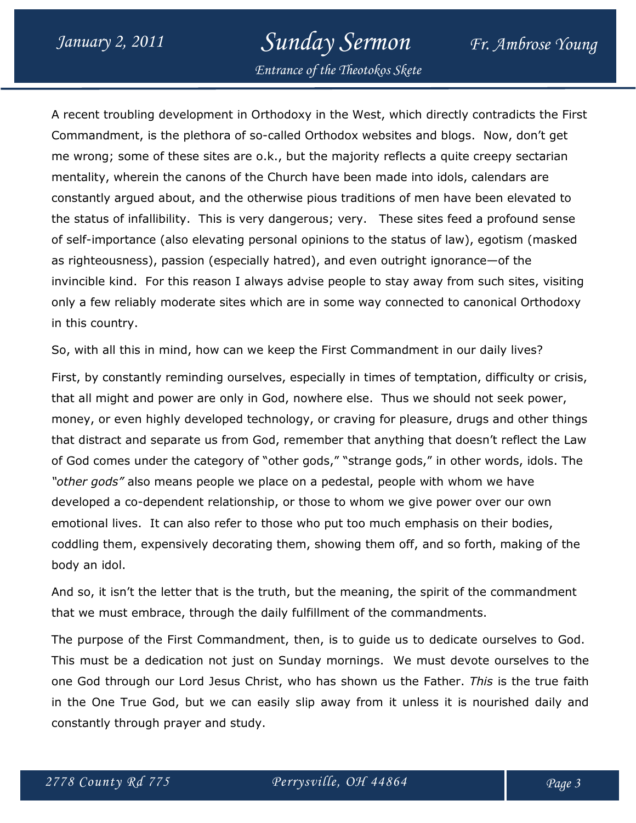## January 2, 2011 Sunday Sermon Fr. Ambrose Young

Entrance of the Theotokos Skete

A recent troubling development in Orthodoxy in the West, which directly contradicts the First Commandment, is the plethora of so-called Orthodox websites and blogs. Now, don't get me wrong; some of these sites are o.k., but the majority reflects a quite creepy sectarian mentality, wherein the canons of the Church have been made into idols, calendars are constantly argued about, and the otherwise pious traditions of men have been elevated to the status of infallibility. This is very dangerous; very. These sites feed a profound sense of self-importance (also elevating personal opinions to the status of law), egotism (masked as righteousness), passion (especially hatred), and even outright ignorance—of the invincible kind. For this reason I always advise people to stay away from such sites, visiting only a few reliably moderate sites which are in some way connected to canonical Orthodoxy in this country.

So, with all this in mind, how can we keep the First Commandment in our daily lives? First, by constantly reminding ourselves, especially in times of temptation, difficulty or crisis, that all might and power are only in God, nowhere else. Thus we should not seek power, money, or even highly developed technology, or craving for pleasure, drugs and other things that distract and separate us from God, remember that anything that doesn't reflect the Law of God comes under the category of "other gods," "strange gods," in other words, idols. The "other gods" also means people we place on a pedestal, people with whom we have developed a co-dependent relationship, or those to whom we give power over our own emotional lives. It can also refer to those who put too much emphasis on their bodies, coddling them, expensively decorating them, showing them off, and so forth, making of the body an idol.

And so, it isn't the letter that is the truth, but the meaning, the spirit of the commandment that we must embrace, through the daily fulfillment of the commandments.

The purpose of the First Commandment, then, is to guide us to dedicate ourselves to God. This must be a dedication not just on Sunday mornings. We must devote ourselves to the one God through our Lord Jesus Christ, who has shown us the Father. This is the true faith in the One True God, but we can easily slip away from it unless it is nourished daily and constantly through prayer and study.